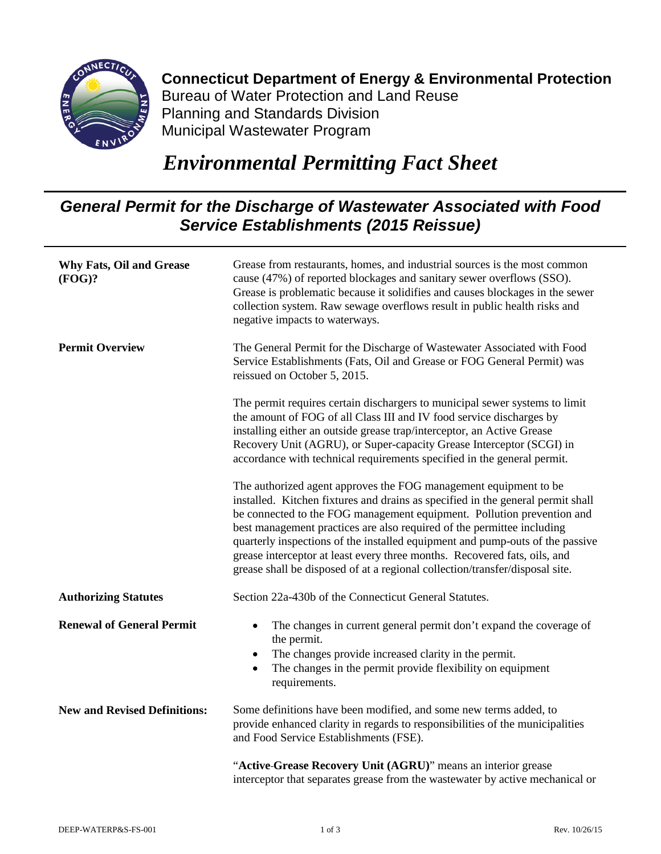

## **Connecticut Department of Energy & Environmental Protection** Bureau of Water Protection and Land Reuse Planning and Standards Division

Municipal Wastewater Program

## *Environmental Permitting Fact Sheet*

## *General Permit for the Discharge of Wastewater Associated with Food Service Establishments (2015 Reissue)*

| <b>Why Fats, Oil and Grease</b><br>(FOG)? | Grease from restaurants, homes, and industrial sources is the most common<br>cause (47%) of reported blockages and sanitary sewer overflows (SSO).<br>Grease is problematic because it solidifies and causes blockages in the sewer<br>collection system. Raw sewage overflows result in public health risks and<br>negative impacts to waterways.                                                                                                                                                                                                    |
|-------------------------------------------|-------------------------------------------------------------------------------------------------------------------------------------------------------------------------------------------------------------------------------------------------------------------------------------------------------------------------------------------------------------------------------------------------------------------------------------------------------------------------------------------------------------------------------------------------------|
| <b>Permit Overview</b>                    | The General Permit for the Discharge of Wastewater Associated with Food<br>Service Establishments (Fats, Oil and Grease or FOG General Permit) was<br>reissued on October 5, 2015.                                                                                                                                                                                                                                                                                                                                                                    |
|                                           | The permit requires certain dischargers to municipal sewer systems to limit<br>the amount of FOG of all Class III and IV food service discharges by<br>installing either an outside grease trap/interceptor, an Active Grease<br>Recovery Unit (AGRU), or Super-capacity Grease Interceptor (SCGI) in<br>accordance with technical requirements specified in the general permit.                                                                                                                                                                      |
|                                           | The authorized agent approves the FOG management equipment to be<br>installed. Kitchen fixtures and drains as specified in the general permit shall<br>be connected to the FOG management equipment. Pollution prevention and<br>best management practices are also required of the permittee including<br>quarterly inspections of the installed equipment and pump-outs of the passive<br>grease interceptor at least every three months. Recovered fats, oils, and<br>grease shall be disposed of at a regional collection/transfer/disposal site. |
| <b>Authorizing Statutes</b>               | Section 22a-430b of the Connecticut General Statutes.                                                                                                                                                                                                                                                                                                                                                                                                                                                                                                 |
| <b>Renewal of General Permit</b>          | The changes in current general permit don't expand the coverage of<br>$\bullet$<br>the permit.<br>The changes provide increased clarity in the permit.<br>$\bullet$<br>The changes in the permit provide flexibility on equipment<br>$\bullet$<br>requirements.                                                                                                                                                                                                                                                                                       |
| <b>New and Revised Definitions:</b>       | Some definitions have been modified, and some new terms added, to<br>provide enhanced clarity in regards to responsibilities of the municipalities<br>and Food Service Establishments (FSE).                                                                                                                                                                                                                                                                                                                                                          |
|                                           | "Active-Grease Recovery Unit (AGRU)" means an interior grease<br>interceptor that separates grease from the wastewater by active mechanical or                                                                                                                                                                                                                                                                                                                                                                                                        |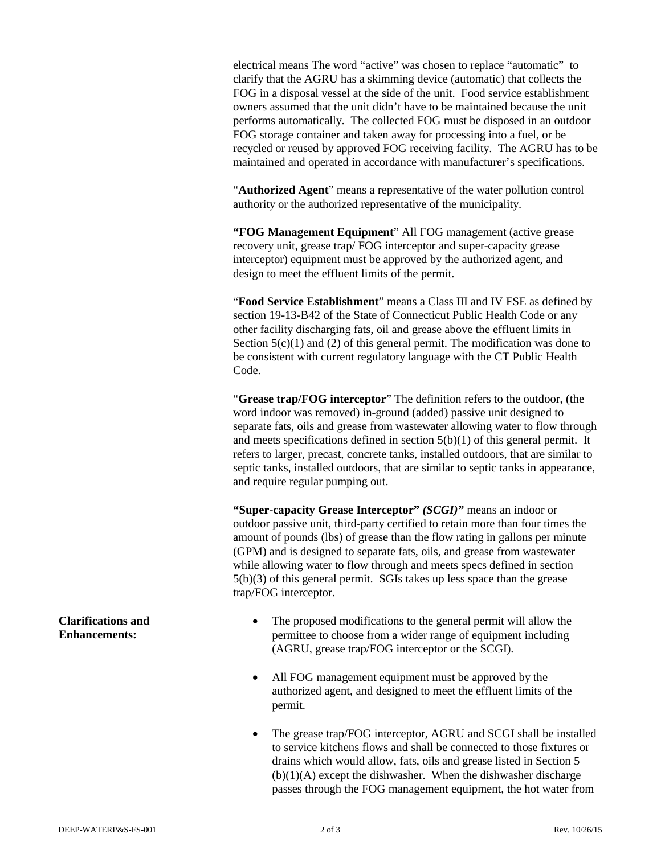electrical means The word "active" was chosen to replace "automatic" to clarify that the AGRU has a skimming device (automatic) that collects the FOG in a disposal vessel at the side of the unit. Food service establishment owners assumed that the unit didn't have to be maintained because the unit performs automatically. The collected FOG must be disposed in an outdoor FOG storage container and taken away for processing into a fuel, or be recycled or reused by approved FOG receiving facility. The AGRU has to be maintained and operated in accordance with manufacturer's specifications.

"**Authorized Agent**" means a representative of the water pollution control authority or the authorized representative of the municipality.

**"FOG Management Equipment**" All FOG management (active grease recovery unit, grease trap/ FOG interceptor and super-capacity grease interceptor) equipment must be approved by the authorized agent, and design to meet the effluent limits of the permit.

"**Food Service Establishment**" means a Class III and IV FSE as defined by section 19-13-B42 of the State of Connecticut Public Health Code or any other facility discharging fats, oil and grease above the effluent limits in Section  $5(c)(1)$  and (2) of this general permit. The modification was done to be consistent with current regulatory language with the CT Public Health Code.

"**Grease trap/FOG interceptor**" The definition refers to the outdoor, (the word indoor was removed) in-ground (added) passive unit designed to separate fats, oils and grease from wastewater allowing water to flow through and meets specifications defined in section 5(b)(1) of this general permit. It refers to larger, precast, concrete tanks, installed outdoors, that are similar to septic tanks, installed outdoors, that are similar to septic tanks in appearance, and require regular pumping out.

**"Super-capacity Grease Interceptor"** *(SCGI)"* means an indoor or outdoor passive unit, third-party certified to retain more than four times the amount of pounds (lbs) of grease than the flow rating in gallons per minute (GPM) and is designed to separate fats, oils, and grease from wastewater while allowing water to flow through and meets specs defined in section 5(b)(3) of this general permit. SGIs takes up less space than the grease trap/FOG interceptor.

- The proposed modifications to the general permit will allow the permittee to choose from a wider range of equipment including (AGRU, grease trap/FOG interceptor or the SCGI).
- All FOG management equipment must be approved by the authorized agent, and designed to meet the effluent limits of the permit.
- The grease trap/FOG interceptor, AGRU and SCGI shall be installed to service kitchens flows and shall be connected to those fixtures or drains which would allow, fats, oils and grease listed in Section 5  $(b)(1)(A)$  except the dishwasher. When the dishwasher discharge passes through the FOG management equipment, the hot water from

## **Clarifications and Enhancements:**